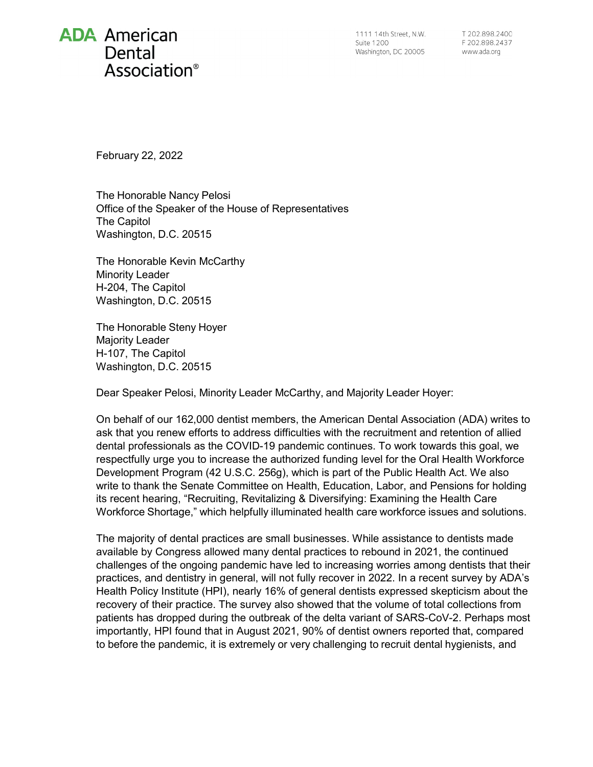## **ADA** American Dental Association<sup>®</sup>

1111 14th Street, N.W. **Suite 1200** Washington, DC 20005

T 202.898.2400 F 202.898.2437 www.ada.org

February 22, 2022

The Honorable Nancy Pelosi Office of the Speaker of the House of Representatives The Capitol Washington, D.C. 20515

The Honorable Kevin McCarthy Minority Leader H-204, The Capitol Washington, D.C. 20515

The Honorable Steny Hoyer Majority Leader H-107, The Capitol Washington, D.C. 20515

Dear Speaker Pelosi, Minority Leader McCarthy, and Majority Leader Hoyer:

On behalf of our 162,000 dentist members, the American Dental Association (ADA) writes to ask that you renew efforts to address difficulties with the recruitment and retention of allied dental professionals as the COVID-19 pandemic continues. To work towards this goal, we respectfully urge you to increase the authorized funding level for the Oral Health Workforce Development Program (42 U.S.C. 256g), which is part of the Public Health Act. We also write to thank the Senate Committee on Health, Education, Labor, and Pensions for holding its recent hearing, "Recruiting, Revitalizing & Diversifying: Examining the Health Care Workforce Shortage," which helpfully illuminated health care workforce issues and solutions.

The majority of dental practices are small businesses. While assistance to dentists made available by Congress allowed many dental practices to rebound in 2021, the continued challenges of the ongoing pandemic have led to increasing worries among dentists that their practices, and dentistry in general, will not fully recover in 2022. In a recent survey by ADA's Health Policy Institute (HPI), nearly 16% of general dentists expressed skepticism about the recovery of their practice. The survey also showed that the volume of total collections from patients has dropped during the outbreak of the delta variant of SARS-CoV-2. Perhaps most importantly, HPI found that in August 2021, 90% of dentist owners reported that, compared to before the pandemic, it is extremely or very challenging to recruit dental hygienists, and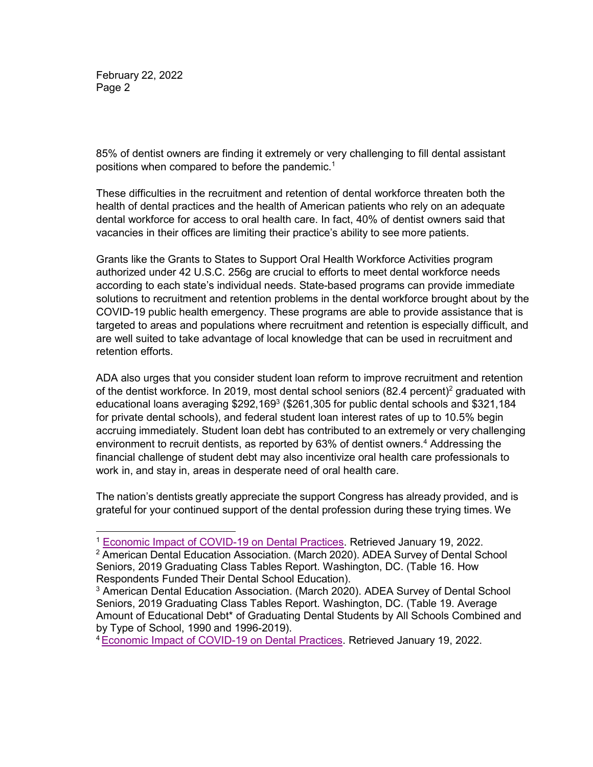February 22, 2022 Page 2

85% of dentist owners are finding it extremely or very challenging to fill dental assistant positions when compared to before the pandemi[c.](#page-1-0) 1

These difficulties in the recruitment and retention of dental workforce threaten both the health of dental practices and the health of American patients who rely on an adequate dental workforce for access to oral health care. In fact, 40% of dentist owners said that vacancies in their offices are limiting their practice's ability to see more patients.

Grants like the Grants to States to Support Oral Health Workforce Activities program authorized under 42 U.S.C. 256g are crucial to efforts to meet dental workforce needs according to each state's individual needs. State-based programs can provide immediate solutions to recruitment and retention problems in the dental workforce brought about by the COVID-19 public health emergency. These programs are able to provide assistance that is targeted to areas and populations where recruitment and retention is especially difficult, and are well suited to take advantage of local knowledge that can be used in recruitment and retention efforts.

ADA also urges that you consider student loan reform to improve recruitment and retention of the dentist workforce. In 2019, most dental school seniors  $(82.4 \text{ percent})^2$  graduated with educational loans averaging \$292,169<sup>3</sup> (\$261,305 for public dental schools and \$321,184 for private dental schools), and federal student loan interest rates of up to 10.5% begin accruing immediately. Student loan debt has contributed to an extremely or very challenging environment to recruit dentists, as reported by 63% of dentist owners.<sup>4</sup> Addressing the financial challenge of student debt may also incentivize oral health care professionals to work in, and stay in, areas in desperate need of oral health care.

The nation's dentists greatly appreciate the support Congress has already provided, and is grateful for your continued support of the dental profession during these trying times. We

<span id="page-1-3"></span>[4Economic Impact of COVID-19 on Dental Practices.](https://www.ada.org/resources/research/health-policy-institute/impact-of-covid-19/private-practice-results?utm_source=adaupdate&utm_medium=email&utm_content=cv-hpi-economic-impact&utm_campaign=covid-19) Retrieved January 19, 2022.

<span id="page-1-0"></span><sup>1</sup> [Economic Impact of COVID-19 on Dental Practices.](https://www.ada.org/resources/research/health-policy-institute/impact-of-covid-19/private-practice-results?utm_source=adaupdate&utm_medium=email&utm_content=cv-hpi-economic-impact&utm_campaign=covid-19) Retrieved January 19, 2022.

<span id="page-1-1"></span><sup>2</sup> American Dental Education Association. (March 2020). ADEA Survey of Dental School Seniors, 2019 Graduating Class Tables Report. Washington, DC. (Table 16. How Respondents Funded Their Dental School Education).

<span id="page-1-2"></span><sup>3</sup> American Dental Education Association. (March 2020). ADEA Survey of Dental School Seniors, 2019 Graduating Class Tables Report. Washington, DC. (Table 19. Average Amount of Educational Debt\* of Graduating Dental Students by All Schools Combined and by Type of School, 1990 and 1996-2019).